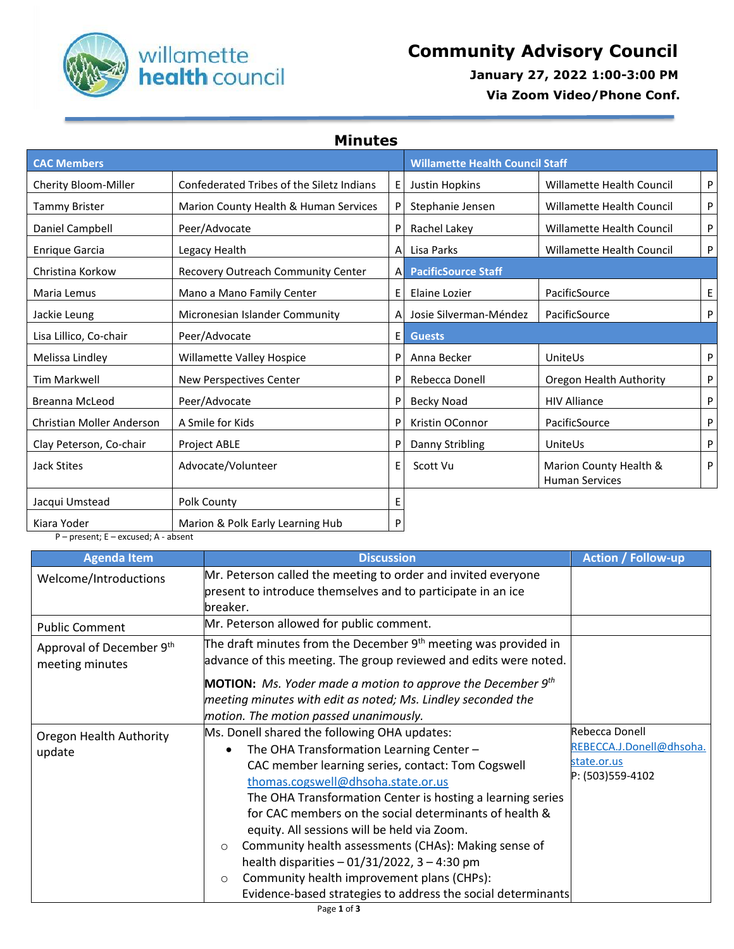

## Willamette **Community Advisory Council**<br> **health** Council **Council Council Council COUNCE**

 **January 27, 2022 1:00-3:00 PM**

 **Via Zoom Video/Phone Conf.**

**Minutes**

| <b>CAC Members</b>        |                                           | <b>Willamette Health Council Staff</b> |                            |                                                 |   |
|---------------------------|-------------------------------------------|----------------------------------------|----------------------------|-------------------------------------------------|---|
| Cherity Bloom-Miller      | Confederated Tribes of the Siletz Indians | E                                      | Justin Hopkins             | <b>Willamette Health Council</b>                | P |
| <b>Tammy Brister</b>      | Marion County Health & Human Services     | P                                      | Stephanie Jensen           | <b>Willamette Health Council</b>                | P |
| Daniel Campbell           | Peer/Advocate                             | P                                      | Rachel Lakey               | <b>Willamette Health Council</b>                | P |
| <b>Enrique Garcia</b>     | Legacy Health                             | A                                      | Lisa Parks                 | <b>Willamette Health Council</b>                | P |
| Christina Korkow          | Recovery Outreach Community Center        | A                                      | <b>PacificSource Staff</b> |                                                 |   |
| Maria Lemus               | Mano a Mano Family Center                 | Ε                                      | Elaine Lozier              | PacificSource                                   | E |
| Jackie Leung              | Micronesian Islander Community            | A                                      | Josie Silverman-Méndez     | PacificSource                                   | P |
| Lisa Lillico, Co-chair    | Peer/Advocate                             | E                                      | <b>Guests</b>              |                                                 |   |
| Melissa Lindley           | Willamette Valley Hospice                 | P                                      | Anna Becker                | UniteUs                                         | P |
| <b>Tim Markwell</b>       | New Perspectives Center                   | P                                      | Rebecca Donell             | Oregon Health Authority                         | P |
| Breanna McLeod            | Peer/Advocate                             | P                                      | Becky Noad                 | <b>HIV Alliance</b>                             | P |
| Christian Moller Anderson | A Smile for Kids                          | P                                      | Kristin OConnor            | PacificSource                                   | P |
| Clay Peterson, Co-chair   | Project ABLE                              | P                                      | Danny Stribling            | UniteUs                                         | P |
| <b>Jack Stites</b>        | Advocate/Volunteer                        | E                                      | Scott Vu                   | Marion County Health &<br><b>Human Services</b> | P |
| Jacqui Umstead            | Polk County                               | E                                      |                            |                                                 |   |
| Kiara Yoder               | Marion & Polk Early Learning Hub          | P                                      |                            |                                                 |   |

P – present; E – excused; A - absent

| <b>Agenda Item</b>                          | <b>Discussion</b>                                                    | <b>Action / Follow-up</b> |
|---------------------------------------------|----------------------------------------------------------------------|---------------------------|
| Welcome/Introductions                       | Mr. Peterson called the meeting to order and invited everyone        |                           |
|                                             | present to introduce themselves and to participate in an ice         |                           |
|                                             | breaker.                                                             |                           |
| <b>Public Comment</b>                       | Mr. Peterson allowed for public comment.                             |                           |
| Approval of December 9th<br>meeting minutes | The draft minutes from the December $9th$ meeting was provided in    |                           |
|                                             | advance of this meeting. The group reviewed and edits were noted.    |                           |
|                                             | <b>MOTION:</b> Ms. Yoder made a motion to approve the December $9th$ |                           |
|                                             | meeting minutes with edit as noted; Ms. Lindley seconded the         |                           |
|                                             | motion. The motion passed unanimously.                               |                           |
| Oregon Health Authority                     | Ms. Donell shared the following OHA updates:                         | Rebecca Donell            |
| update                                      | The OHA Transformation Learning Center -<br>$\bullet$                | REBECCA.J.Donell@dhsoha.  |
|                                             | CAC member learning series, contact: Tom Cogswell                    | state.or.us               |
|                                             | thomas.cogswell@dhsoha.state.or.us                                   | P: (503)559-4102          |
|                                             | The OHA Transformation Center is hosting a learning series           |                           |
|                                             | for CAC members on the social determinants of health &               |                           |
|                                             | equity. All sessions will be held via Zoom.                          |                           |
|                                             | Community health assessments (CHAs): Making sense of<br>$\circ$      |                           |
|                                             | health disparities $-01/31/2022$ , $3 - 4:30$ pm                     |                           |
|                                             | Community health improvement plans (CHPs):<br>$\circ$                |                           |
|                                             | Evidence-based strategies to address the social determinants         |                           |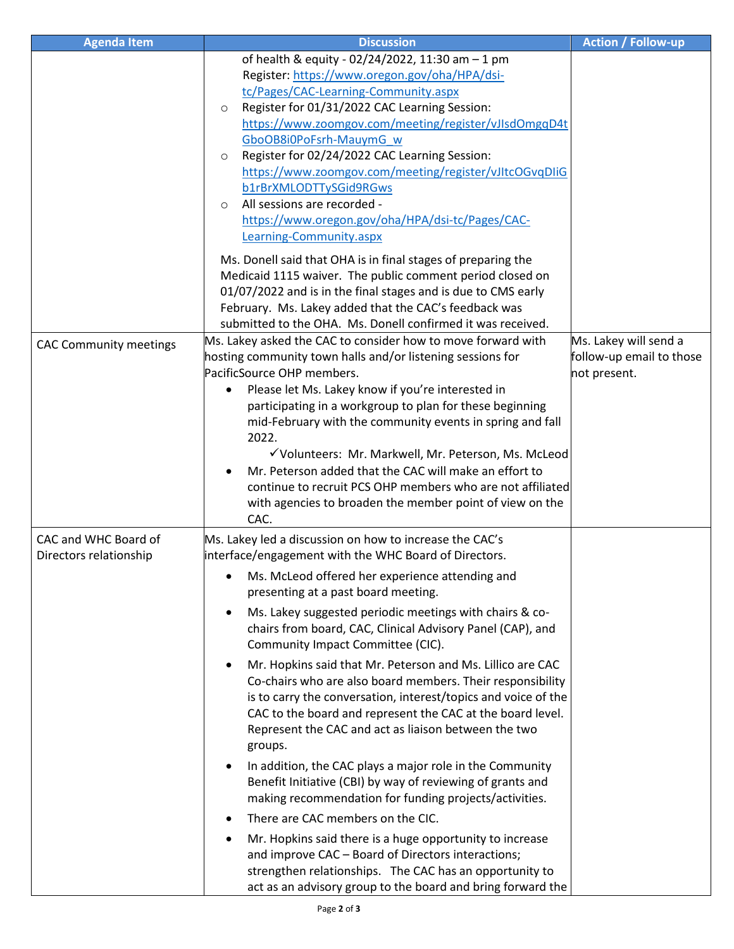| <b>Agenda Item</b>            | <b>Discussion</b>                                                                               | <b>Action / Follow-up</b> |
|-------------------------------|-------------------------------------------------------------------------------------------------|---------------------------|
|                               | of health & equity - 02/24/2022, 11:30 am - 1 pm                                                |                           |
|                               | Register: https://www.oregon.gov/oha/HPA/dsi-                                                   |                           |
|                               | tc/Pages/CAC-Learning-Community.aspx                                                            |                           |
|                               | Register for 01/31/2022 CAC Learning Session:<br>$\circ$                                        |                           |
|                               | https://www.zoomgov.com/meeting/register/vJIsdOmgqD4t                                           |                           |
|                               | GboOB8i0PoFsrh-MauymG_w                                                                         |                           |
|                               | Register for 02/24/2022 CAC Learning Session:<br>$\circ$                                        |                           |
|                               | https://www.zoomgov.com/meeting/register/vJItcOGvqDIiG                                          |                           |
|                               | b1rBrXMLODTTySGid9RGws                                                                          |                           |
|                               | All sessions are recorded -<br>$\circ$                                                          |                           |
|                               | https://www.oregon.gov/oha/HPA/dsi-tc/Pages/CAC-                                                |                           |
|                               | Learning-Community.aspx                                                                         |                           |
|                               | Ms. Donell said that OHA is in final stages of preparing the                                    |                           |
|                               | Medicaid 1115 waiver. The public comment period closed on                                       |                           |
|                               | 01/07/2022 and is in the final stages and is due to CMS early                                   |                           |
|                               | February. Ms. Lakey added that the CAC's feedback was                                           |                           |
|                               | submitted to the OHA. Ms. Donell confirmed it was received.                                     |                           |
|                               | Ms. Lakey asked the CAC to consider how to move forward with                                    | Ms. Lakey will send a     |
| <b>CAC Community meetings</b> | hosting community town halls and/or listening sessions for                                      | follow-up email to those  |
|                               | PacificSource OHP members.                                                                      | not present.              |
|                               | Please let Ms. Lakey know if you're interested in                                               |                           |
|                               | participating in a workgroup to plan for these beginning                                        |                           |
|                               | mid-February with the community events in spring and fall                                       |                           |
|                               | 2022.                                                                                           |                           |
|                               | √Volunteers: Mr. Markwell, Mr. Peterson, Ms. McLeod                                             |                           |
|                               | Mr. Peterson added that the CAC will make an effort to                                          |                           |
|                               | continue to recruit PCS OHP members who are not affiliated                                      |                           |
|                               | with agencies to broaden the member point of view on the                                        |                           |
|                               | CAC.                                                                                            |                           |
| CAC and WHC Board of          | Ms. Lakey led a discussion on how to increase the CAC's                                         |                           |
| Directors relationship        | interface/engagement with the WHC Board of Directors.                                           |                           |
|                               | Ms. McLeod offered her experience attending and                                                 |                           |
|                               | presenting at a past board meeting.                                                             |                           |
|                               |                                                                                                 |                           |
|                               | Ms. Lakey suggested periodic meetings with chairs & co-                                         |                           |
|                               | chairs from board, CAC, Clinical Advisory Panel (CAP), and<br>Community Impact Committee (CIC). |                           |
|                               |                                                                                                 |                           |
|                               | Mr. Hopkins said that Mr. Peterson and Ms. Lillico are CAC                                      |                           |
|                               | Co-chairs who are also board members. Their responsibility                                      |                           |
|                               | is to carry the conversation, interest/topics and voice of the                                  |                           |
|                               | CAC to the board and represent the CAC at the board level.                                      |                           |
|                               | Represent the CAC and act as liaison between the two                                            |                           |
|                               | groups.                                                                                         |                           |
|                               | In addition, the CAC plays a major role in the Community<br>$\bullet$                           |                           |
|                               | Benefit Initiative (CBI) by way of reviewing of grants and                                      |                           |
|                               | making recommendation for funding projects/activities.                                          |                           |
|                               | There are CAC members on the CIC.                                                               |                           |
|                               | Mr. Hopkins said there is a huge opportunity to increase                                        |                           |
|                               | and improve CAC - Board of Directors interactions;                                              |                           |
|                               | strengthen relationships. The CAC has an opportunity to                                         |                           |
|                               | act as an advisory group to the board and bring forward the                                     |                           |